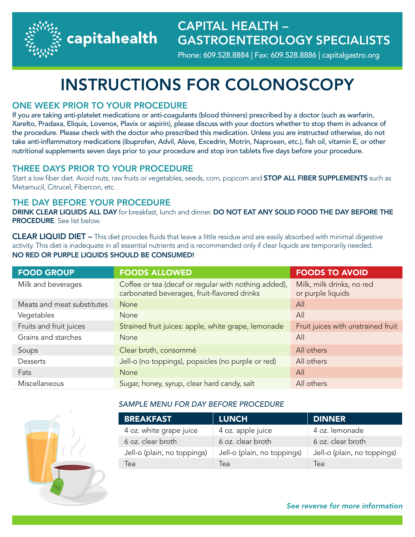capitahealth

## CAPITAL HEALTH – GASTROENTEROLOGY SPECIALISTS

Phone: 609.528.8884 | Fax: 609.528.8886 | capitalgastro.org

# INSTRUCTIONS FOR COLONOSCOPY

### ONE WEEK PRIOR TO YOUR PROCEDURE

If you are taking anti-platelet medications or anti-coagulants (blood thinners) prescribed by a doctor (such as warfarin, Xarelto, Pradaxa, Eliquis, Lovenox, Plavix or aspirin), please discuss with your doctors whether to stop them in advance of the procedure. Please check with the doctor who prescribed this medication. Unless you are instructed otherwise, do not take anti-inflammatory medications (ibuprofen, Advil, Aleve, Excedrin, Motrin, Naproxen, etc.), fish oil, vitamin E, or other nutritional supplements seven days prior to your procedure and stop iron tablets five days before your procedure.

#### THREE DAYS PRIOR TO YOUR PROCEDURE

Start a low fiber diet. Avoid nuts, raw fruits or vegetables, seeds, corn, popcorn and STOP ALL FIBER SUPPLEMENTS such as Metamucil, Citrucel, Fibercon, etc.

### THE DAY BEFORE YOUR PROCEDURE

DRINK CLEAR LIQUIDS ALL DAY for breakfast, lunch and dinner. DO NOT EAT ANY SOLID FOOD THE DAY BEFORE THE PROCEDURE. See list below.

CLEAR LIQUID DIET – This diet provides fluids that leave a little residue and are easily absorbed with minimal digestive activity. This diet is inadequate in all essential nutrients and is recommended only if clear liquids are temporarily needed. NO RED OR PURPLE LIQUIDS SHOULD BE CONSUMED!

| <b>FOOD GROUP</b>          | <b>FOODS ALLOWED</b>                                                                                | <b>FOODS TO AVOID</b>                          |
|----------------------------|-----------------------------------------------------------------------------------------------------|------------------------------------------------|
| Milk and beverages         | Coffee or tea (decaf or regular with nothing added),<br>carbonated beverages, fruit-flavored drinks | Milk, milk drinks, no red<br>or purple liquids |
| Meats and meat substitutes | <b>None</b>                                                                                         | All                                            |
| Vegetables                 | None                                                                                                | All                                            |
| Fruits and fruit juices    | Strained fruit juices: apple, white grape, lemonade                                                 | Fruit juices with unstrained fruit             |
| Grains and starches        | None                                                                                                | All                                            |
| Soups                      | Clear broth, consommé                                                                               | All others                                     |
| Desserts                   | Jell-o (no toppings), popsicles (no purple or red)                                                  | All others                                     |
| Fats                       | <b>None</b>                                                                                         | All                                            |
| Miscellaneous              | Sugar, honey, syrup, clear hard candy, salt                                                         | All others                                     |



#### *SAMPLE MENU FOR DAY BEFORE PROCEDURE*

| <b>BREAKFAST</b>            | <b>LUNCH</b>                | DINNER                      |
|-----------------------------|-----------------------------|-----------------------------|
| 4 oz. white grape juice     | 4 oz. apple juice           | 4 oz. lemonade              |
| 6 oz. clear broth           | 6 oz. clear broth           | 6 oz. clear broth           |
| Jell-o (plain, no toppings) | Jell-o (plain, no toppings) | Jell-o (plain, no toppings) |
| Tea                         | lea                         | lea                         |